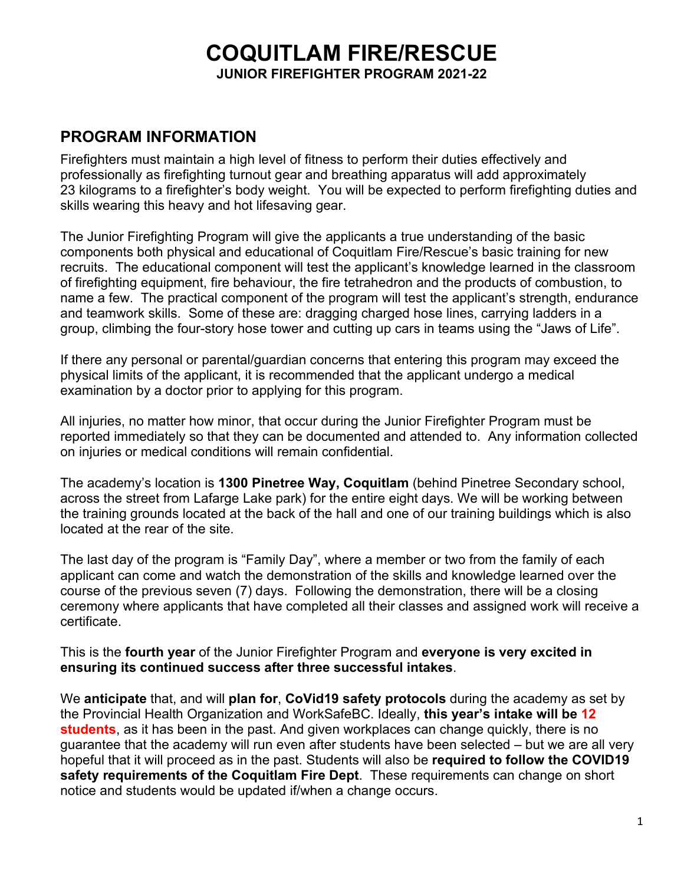# **COQUITLAM FIRE/RESCUE**

**JUNIOR FIREFIGHTER PROGRAM 2021-22**

# **PROGRAM INFORMATION**

Firefighters must maintain a high level of fitness to perform their duties effectively and professionally as firefighting turnout gear and breathing apparatus will add approximately 23 kilograms to a firefighter's body weight. You will be expected to perform firefighting duties and skills wearing this heavy and hot lifesaving gear.

The Junior Firefighting Program will give the applicants a true understanding of the basic components both physical and educational of Coquitlam Fire/Rescue's basic training for new recruits. The educational component will test the applicant's knowledge learned in the classroom of firefighting equipment, fire behaviour, the fire tetrahedron and the products of combustion, to name a few. The practical component of the program will test the applicant's strength, endurance and teamwork skills. Some of these are: dragging charged hose lines, carrying ladders in a group, climbing the four-story hose tower and cutting up cars in teams using the "Jaws of Life".

If there any personal or parental/guardian concerns that entering this program may exceed the physical limits of the applicant, it is recommended that the applicant undergo a medical examination by a doctor prior to applying for this program.

All injuries, no matter how minor, that occur during the Junior Firefighter Program must be reported immediately so that they can be documented and attended to. Any information collected on injuries or medical conditions will remain confidential.

The academy's location is **1300 Pinetree Way, Coquitlam** (behind Pinetree Secondary school, across the street from Lafarge Lake park) for the entire eight days. We will be working between the training grounds located at the back of the hall and one of our training buildings which is also located at the rear of the site.

The last day of the program is "Family Day", where a member or two from the family of each applicant can come and watch the demonstration of the skills and knowledge learned over the course of the previous seven (7) days. Following the demonstration, there will be a closing ceremony where applicants that have completed all their classes and assigned work will receive a certificate.

This is the **fourth year** of the Junior Firefighter Program and **everyone is very excited in ensuring its continued success after three successful intakes**.

We **anticipate** that, and will **plan for**, **CoVid19 safety protocols** during the academy as set by the Provincial Health Organization and WorkSafeBC. Ideally, **this year's intake will be 12 students**, as it has been in the past. And given workplaces can change quickly, there is no guarantee that the academy will run even after students have been selected – but we are all very hopeful that it will proceed as in the past. Students will also be **required to follow the COVID19 safety requirements of the Coquitlam Fire Dept**. These requirements can change on short notice and students would be updated if/when a change occurs.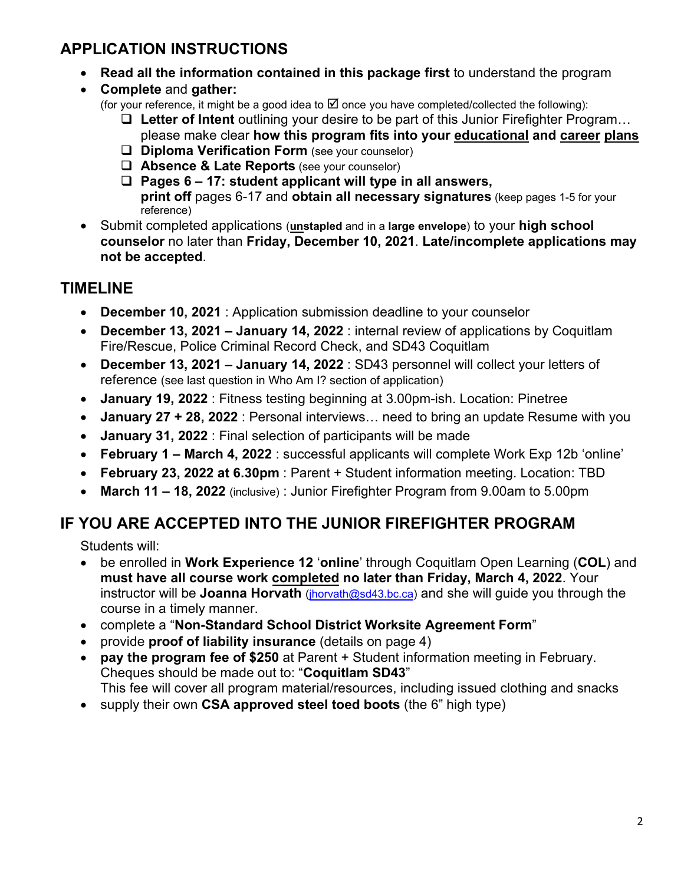# **APPLICATION INSTRUCTIONS**

- **Read all the information contained in this package first** to understand the program
- **Complete** and **gather:**
	- (for your reference, it might be a good idea to  $\boxtimes$  once you have completed/collected the following):
		- **Letter of Intent** outlining your desire to be part of this Junior Firefighter Program… please make clear **how this program fits into your educational and career plans**
		- **Diploma Verification Form** (see your counselor)
		- **Absence & Late Reports** (see your counselor)
		- **Pages 6 17: student applicant will type in all answers, print off** pages 6-17 and **obtain all necessary signatures** (keep pages 1-5 for your reference)
- Submit completed applications (**unstapled** and in a **large envelope**) to your **high school counselor** no later than **Friday, December 10, 2021**. **Late/incomplete applications may not be accepted**.

# **TIMELINE**

- **December 10, 2021** : Application submission deadline to your counselor
- **December 13, 2021 January 14, 2022** : internal review of applications by Coquitlam Fire/Rescue, Police Criminal Record Check, and SD43 Coquitlam
- **December 13, 2021 January 14, 2022** : SD43 personnel will collect your letters of reference (see last question in Who Am I? section of application)
- **January 19, 2022** : Fitness testing beginning at 3.00pm-ish. Location: Pinetree
- **January 27 + 28, 2022** : Personal interviews… need to bring an update Resume with you
- **January 31, 2022** : Final selection of participants will be made
- **February 1 March 4, 2022** : successful applicants will complete Work Exp 12b 'online'
- **February 23, 2022 at 6.30pm** : Parent + Student information meeting. Location: TBD
- **March 11 18, 2022** (inclusive) : Junior Firefighter Program from 9.00am to 5.00pm

# **IF YOU ARE ACCEPTED INTO THE JUNIOR FIREFIGHTER PROGRAM**

Students will:

- be enrolled in **Work Experience 12** '**online**' through Coquitlam Open Learning (**COL**) and **must have all course work completed no later than Friday, March 4, 2022**. Your instructor will be **Joanna Horvath** [\(jhorvath@sd43.bc.ca\)](mailto:jhorvath@sd43.bc.ca) and she will guide you through the course in a timely manner.
- complete a "**Non-Standard School District Worksite Agreement Form**"
- provide **proof of liability insurance** (details on page 4)
- **pay the program fee of \$250** at Parent + Student information meeting in February. Cheques should be made out to: "**Coquitlam SD43**" This fee will cover all program material/resources, including issued clothing and snacks
- supply their own **CSA approved steel toed boots** (the 6" high type)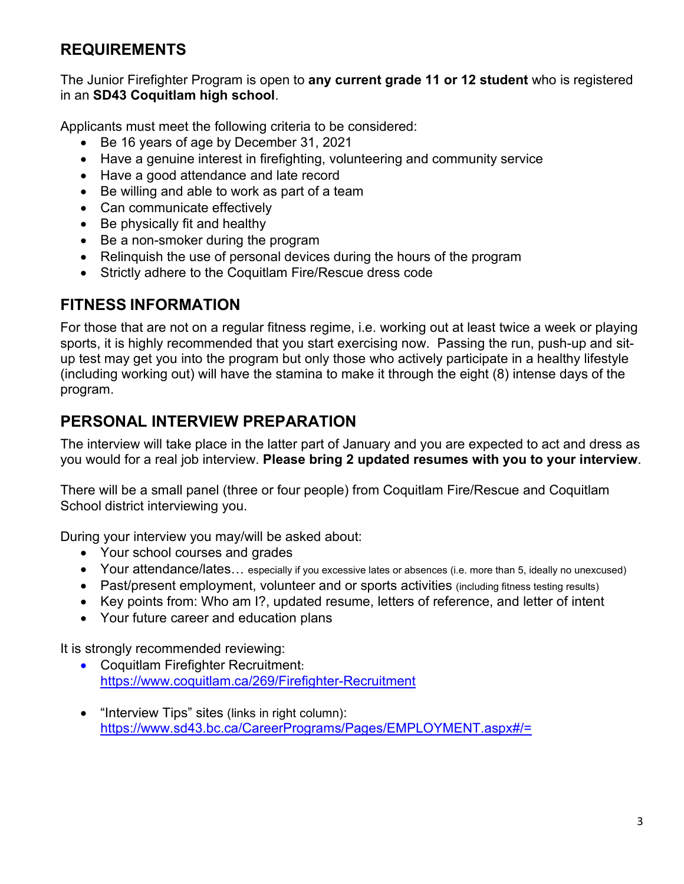# **REQUIREMENTS**

The Junior Firefighter Program is open to **any current grade 11 or 12 student** who is registered in an **SD43 Coquitlam high school**.

Applicants must meet the following criteria to be considered:

- Be 16 years of age by December 31, 2021
- Have a genuine interest in firefighting, volunteering and community service
- Have a good attendance and late record
- Be willing and able to work as part of a team
- Can communicate effectively
- Be physically fit and healthy
- Be a non-smoker during the program
- Relinquish the use of personal devices during the hours of the program
- Strictly adhere to the Coquitlam Fire/Rescue dress code

# **FITNESS INFORMATION**

For those that are not on a regular fitness regime, i.e. working out at least twice a week or playing sports, it is highly recommended that you start exercising now. Passing the run, push-up and situp test may get you into the program but only those who actively participate in a healthy lifestyle (including working out) will have the stamina to make it through the eight (8) intense days of the program.

# **PERSONAL INTERVIEW PREPARATION**

The interview will take place in the latter part of January and you are expected to act and dress as you would for a real job interview. **Please bring 2 updated resumes with you to your interview**.

There will be a small panel (three or four people) from Coquitlam Fire/Rescue and Coquitlam School district interviewing you.

During your interview you may/will be asked about:

- Your school courses and grades
- Your attendance/lates… especially if you excessive lates or absences (i.e. more than 5, ideally no unexcused)
- Past/present employment, volunteer and or sports activities (including fitness testing results)
- Key points from: Who am I?, updated resume, letters of reference, and letter of intent
- Your future career and education plans

It is strongly recommended reviewing:

- Coquitlam Firefighter Recruitment: <https://www.coquitlam.ca/269/Firefighter-Recruitment>
- "Interview Tips" sites (links in right column): <https://www.sd43.bc.ca/CareerPrograms/Pages/EMPLOYMENT.aspx#/=>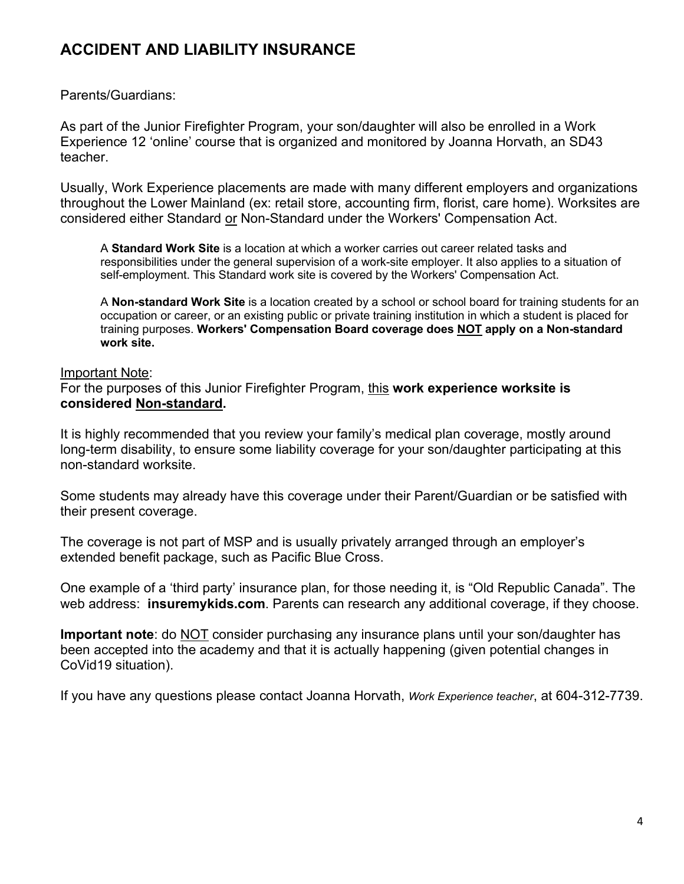# **ACCIDENT AND LIABILITY INSURANCE**

Parents/Guardians:

As part of the Junior Firefighter Program, your son/daughter will also be enrolled in a Work Experience 12 'online' course that is organized and monitored by Joanna Horvath, an SD43 teacher.

Usually, Work Experience placements are made with many different employers and organizations throughout the Lower Mainland (ex: retail store, accounting firm, florist, care home). Worksites are considered either Standard or Non-Standard under the Workers' Compensation Act.

A **Standard Work Site** is a location at which a worker carries out career related tasks and responsibilities under the general supervision of a work-site employer. It also applies to a situation of self-employment. This Standard work site is covered by the Workers' Compensation Act.

A **Non-standard Work Site** is a location created by a school or school board for training students for an occupation or career, or an existing public or private training institution in which a student is placed for training purposes. **Workers' Compensation Board coverage does NOT apply on a Non-standard work site.**

## Important Note:

For the purposes of this Junior Firefighter Program, this **work experience worksite is considered Non-standard.**

It is highly recommended that you review your family's medical plan coverage, mostly around long-term disability, to ensure some liability coverage for your son/daughter participating at this non-standard worksite.

Some students may already have this coverage under their Parent/Guardian or be satisfied with their present coverage.

The coverage is not part of MSP and is usually privately arranged through an employer's extended benefit package, such as Pacific Blue Cross.

One example of a 'third party' insurance plan, for those needing it, is "Old Republic Canada". The web address: **insuremykids.com**. Parents can research any additional coverage, if they choose.

**Important note**: do NOT consider purchasing any insurance plans until your son/daughter has been accepted into the academy and that it is actually happening (given potential changes in CoVid19 situation).

If you have any questions please contact Joanna Horvath, *Work Experience teacher*, at 604-312-7739.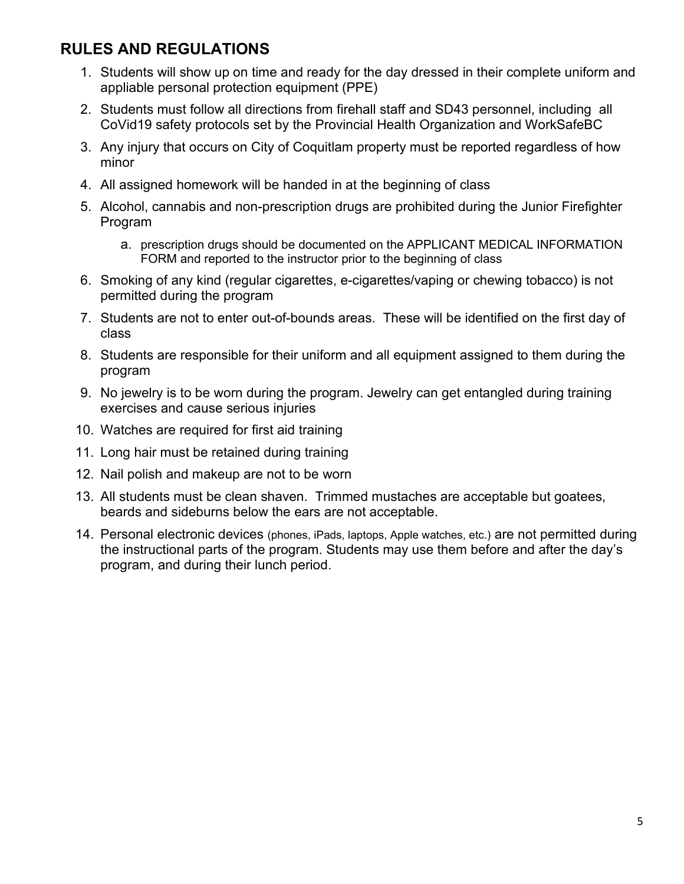# **RULES AND REGULATIONS**

- 1. Students will show up on time and ready for the day dressed in their complete uniform and appliable personal protection equipment (PPE)
- 2. Students must follow all directions from firehall staff and SD43 personnel, including all CoVid19 safety protocols set by the Provincial Health Organization and WorkSafeBC
- 3. Any injury that occurs on City of Coquitlam property must be reported regardless of how minor
- 4. All assigned homework will be handed in at the beginning of class
- 5. Alcohol, cannabis and non-prescription drugs are prohibited during the Junior Firefighter Program
	- a. prescription drugs should be documented on the APPLICANT MEDICAL INFORMATION FORM and reported to the instructor prior to the beginning of class
- 6. Smoking of any kind (regular cigarettes, e-cigarettes/vaping or chewing tobacco) is not permitted during the program
- 7. Students are not to enter out-of-bounds areas. These will be identified on the first day of class
- 8. Students are responsible for their uniform and all equipment assigned to them during the program
- 9. No jewelry is to be worn during the program. Jewelry can get entangled during training exercises and cause serious injuries
- 10. Watches are required for first aid training
- 11. Long hair must be retained during training
- 12. Nail polish and makeup are not to be worn
- 13. All students must be clean shaven. Trimmed mustaches are acceptable but goatees, beards and sideburns below the ears are not acceptable.
- 14. Personal electronic devices (phones, iPads, laptops, Apple watches, etc.) are not permitted during the instructional parts of the program. Students may use them before and after the day's program, and during their lunch period.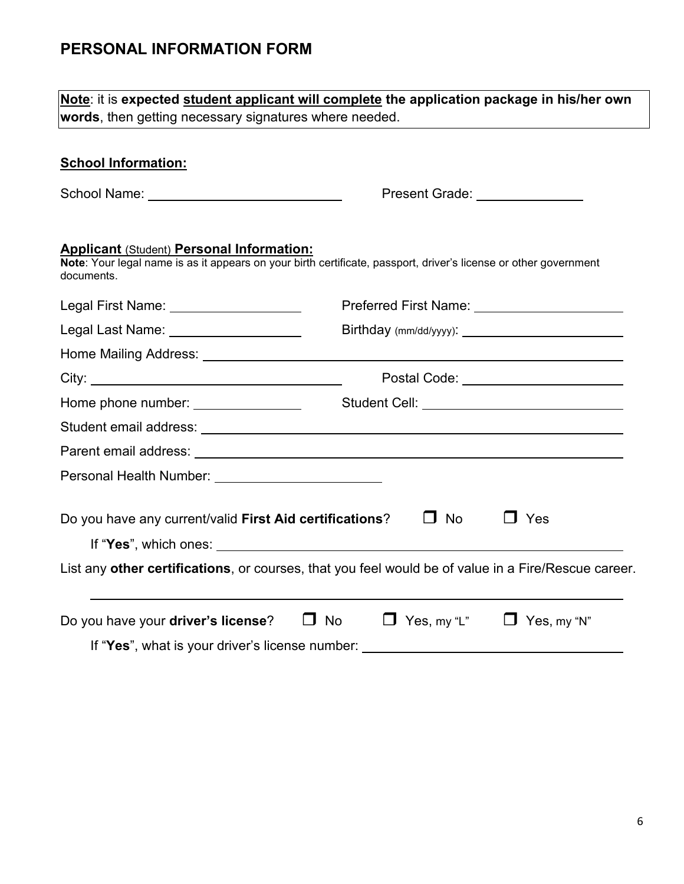# **PERSONAL INFORMATION FORM**

| words, then getting necessary signatures where needed.                                                                                                                             | Note: it is expected student applicant will complete the application package in his/her own         |
|------------------------------------------------------------------------------------------------------------------------------------------------------------------------------------|-----------------------------------------------------------------------------------------------------|
|                                                                                                                                                                                    |                                                                                                     |
| <b>School Information:</b>                                                                                                                                                         |                                                                                                     |
|                                                                                                                                                                                    | Present Grade: _______________                                                                      |
| <b>Applicant (Student) Personal Information:</b><br>Note: Your legal name is as it appears on your birth certificate, passport, driver's license or other government<br>documents. |                                                                                                     |
| Legal First Name: ___________________                                                                                                                                              | Preferred First Name: _________________________                                                     |
| Legal Last Name: Name: Name State State State State State State State State State State State State State State                                                                    |                                                                                                     |
|                                                                                                                                                                                    |                                                                                                     |
|                                                                                                                                                                                    | Postal Code: ________________________                                                               |
| Home phone number: ________________                                                                                                                                                | Student Cell: _________________________________                                                     |
|                                                                                                                                                                                    |                                                                                                     |
|                                                                                                                                                                                    |                                                                                                     |
|                                                                                                                                                                                    |                                                                                                     |
| Do you have any current/valid First Aid certifications?                                                                                                                            | $\Box$ No<br>$\Box$ Yes                                                                             |
|                                                                                                                                                                                    |                                                                                                     |
|                                                                                                                                                                                    | List any other certifications, or courses, that you feel would be of value in a Fire/Rescue career. |
| Do you have your driver's license?<br>$\Box$ No                                                                                                                                    | $\Box$ Yes, my "L"<br>$\Box$ Yes, my "N"                                                            |
|                                                                                                                                                                                    | If "Yes", what is your driver's license number:                                                     |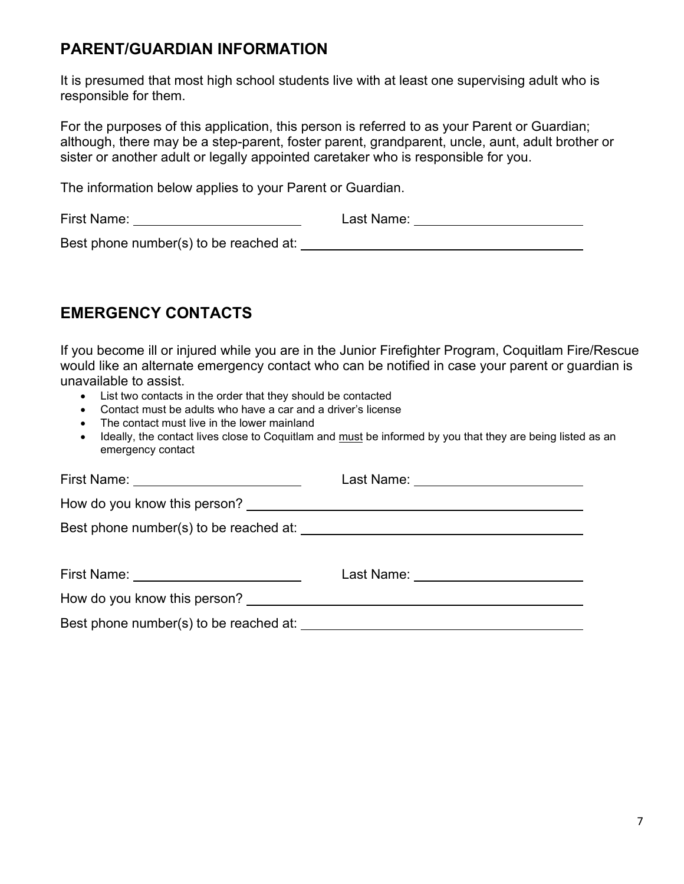# **PARENT/GUARDIAN INFORMATION**

It is presumed that most high school students live with at least one supervising adult who is responsible for them.

For the purposes of this application, this person is referred to as your Parent or Guardian; although, there may be a step-parent, foster parent, grandparent, uncle, aunt, adult brother or sister or another adult or legally appointed caretaker who is responsible for you.

The information below applies to your Parent or Guardian.

First Name: Last Name:

Best phone number(s) to be reached at:

# **EMERGENCY CONTACTS**

If you become ill or injured while you are in the Junior Firefighter Program, Coquitlam Fire/Rescue would like an alternate emergency contact who can be notified in case your parent or guardian is unavailable to assist.

- List two contacts in the order that they should be contacted
- Contact must be adults who have a car and a driver's license
- The contact must live in the lower mainland
- Ideally, the contact lives close to Coquitlam and must be informed by you that they are being listed as an emergency contact

| First Name: <u>with the set of the set of the set of the set of the set of the set of the set of the set of the set of the set of the set of the set of the set of the set of the set of the set of the set of the set of the se</u> | Last Name: <u>__________________________</u>                                                                    |
|--------------------------------------------------------------------------------------------------------------------------------------------------------------------------------------------------------------------------------------|-----------------------------------------------------------------------------------------------------------------|
|                                                                                                                                                                                                                                      |                                                                                                                 |
|                                                                                                                                                                                                                                      |                                                                                                                 |
|                                                                                                                                                                                                                                      |                                                                                                                 |
| First Name: Name: Name and Name and Name and Name and Name and Name and Name and Name and Name and N                                                                                                                                 | Last Name: University of the University of the University of the University of the University of the University |
| How do you know this person?                                                                                                                                                                                                         |                                                                                                                 |
|                                                                                                                                                                                                                                      |                                                                                                                 |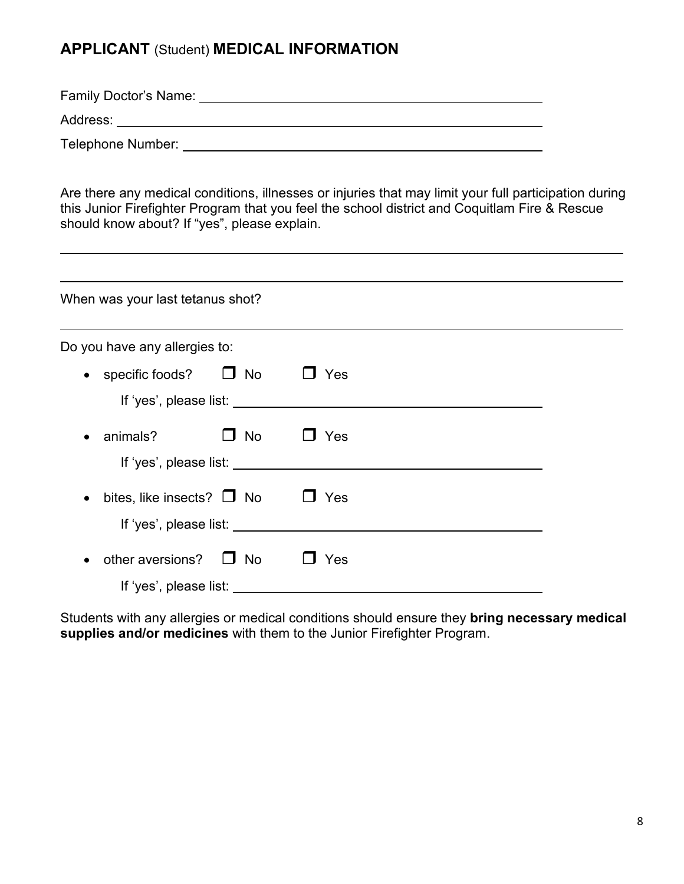# **APPLICANT** (Student) **MEDICAL INFORMATION**

Family Doctor's Name:

Address:

Telephone Number:

Are there any medical conditions, illnesses or injuries that may limit your full participation during this Junior Firefighter Program that you feel the school district and Coquitlam Fire & Rescue should know about? If "yes", please explain.

| When was your last tetanus shot?            |           |                       |  |
|---------------------------------------------|-----------|-----------------------|--|
| Do you have any allergies to:               |           |                       |  |
| $\bullet$ specific foods?                   | $\Box$ No | Yes                   |  |
|                                             |           |                       |  |
| animals?<br>$\bullet$                       | $\Box$ No | Yes                   |  |
| If 'yes', please list:                      |           |                       |  |
| bites, like insects? $\Box$ No<br>$\bullet$ |           | Yes<br>$\blacksquare$ |  |
| If 'yes', please list:                      |           |                       |  |
| other aversions? $\Box$ No<br>$\bullet$     |           | Yes                   |  |
| If 'yes', please list:                      |           |                       |  |

Students with any allergies or medical conditions should ensure they **bring necessary medical supplies and/or medicines** with them to the Junior Firefighter Program.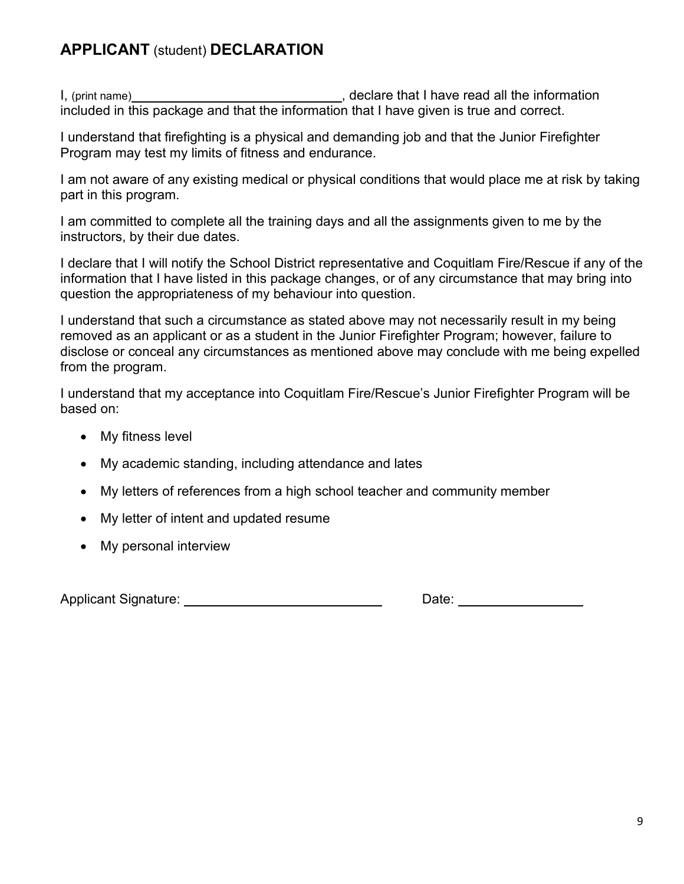# **APPLICANT** (student) **DECLARATION**

I, (print name) , declare that I have read all the information included in this package and that the information that I have given is true and correct.

I understand that firefighting is a physical and demanding job and that the Junior Firefighter Program may test my limits of fitness and endurance.

I am not aware of any existing medical or physical conditions that would place me at risk by taking part in this program.

I am committed to complete all the training days and all the assignments given to me by the instructors, by their due dates.

I declare that I will notify the School District representative and Coquitlam Fire/Rescue if any of the information that I have listed in this package changes, or of any circumstance that may bring into question the appropriateness of my behaviour into question.

I understand that such a circumstance as stated above may not necessarily result in my being removed as an applicant or as a student in the Junior Firefighter Program; however, failure to disclose or conceal any circumstances as mentioned above may conclude with me being expelled from the program.

I understand that my acceptance into Coquitlam Fire/Rescue's Junior Firefighter Program will be based on:

- My fitness level
- My academic standing, including attendance and lates
- My letters of references from a high school teacher and community member
- My letter of intent and updated resume
- My personal interview

Applicant Signature: Date: Date: Date: Date: Date: Date: Date: Date: Date: Date: Date: Date: Date: Date: Date: Date: Date: Date: Date: Date: Date: Date: Date: Date: Date: Date: Date: Date: Date: Date: Date: Date: Date: Dat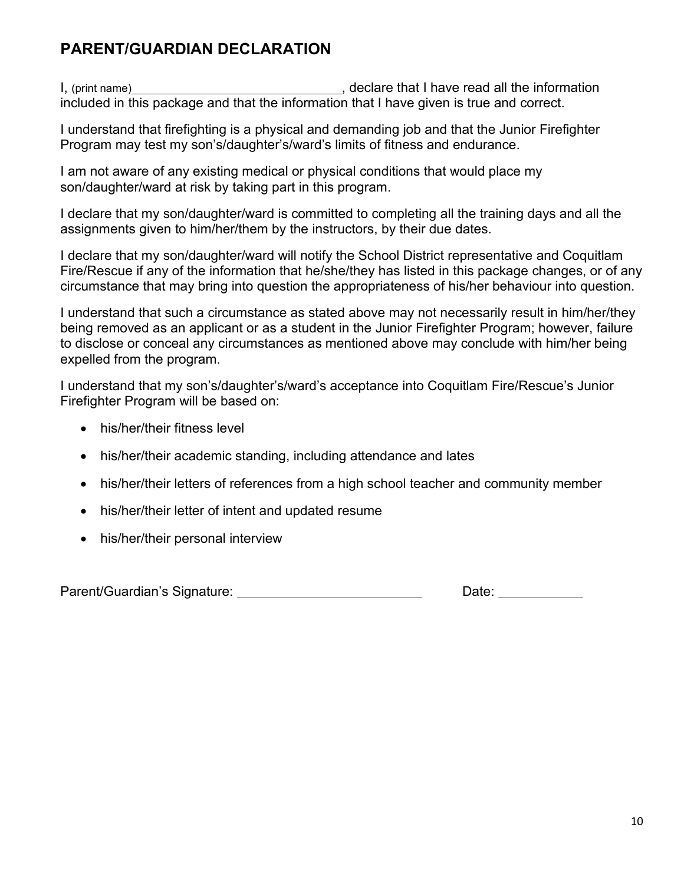# **PARENT/GUARDIAN DECLARATION**

I, (print name) , declare that I have read all the information included in this package and that the information that I have given is true and correct.

I understand that firefighting is a physical and demanding job and that the Junior Firefighter Program may test my son's/daughter's/ward's limits of fitness and endurance.

I am not aware of any existing medical or physical conditions that would place my son/daughter/ward at risk by taking part in this program.

I declare that my son/daughter/ward is committed to completing all the training days and all the assignments given to him/her/them by the instructors, by their due dates.

I declare that my son/daughter/ward will notify the School District representative and Coquitlam Fire/Rescue if any of the information that he/she/they has listed in this package changes, or of any circumstance that may bring into question the appropriateness of his/her behaviour into question.

I understand that such a circumstance as stated above may not necessarily result in him/her/they being removed as an applicant or as a student in the Junior Firefighter Program; however, failure to disclose or conceal any circumstances as mentioned above may conclude with him/her being expelled from the program.

I understand that my son's/daughter's/ward's acceptance into Coquitlam Fire/Rescue's Junior Firefighter Program will be based on:

- his/her/their fitness level
- his/her/their academic standing, including attendance and lates
- his/her/their letters of references from a high school teacher and community member
- his/her/their letter of intent and updated resume
- his/her/their personal interview

Parent/Guardian's Signature: Date: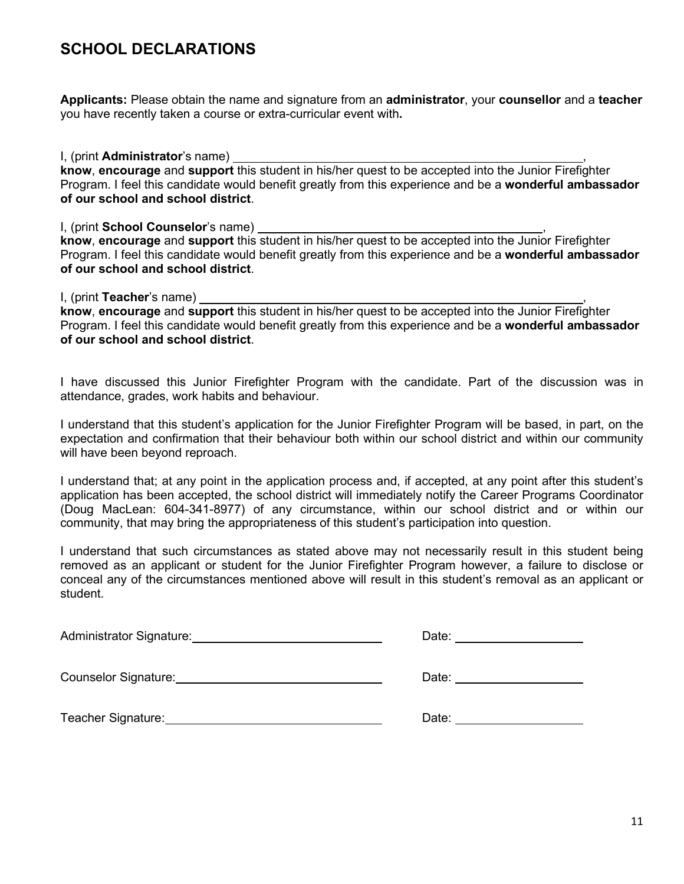# **SCHOOL DECLARATIONS**

**Applicants:** Please obtain the name and signature from an **administrator**, your **counsellor** and a **teacher** you have recently taken a course or extra-curricular event with**.**

I, (print **Administrator**'s name) , **know**, **encourage** and **support** this student in his/her quest to be accepted into the Junior Firefighter Program. I feel this candidate would benefit greatly from this experience and be a **wonderful ambassador of our school and school district**.

I, (print **School Counselor**'s name) , **know**, **encourage** and **support** this student in his/her quest to be accepted into the Junior Firefighter Program. I feel this candidate would benefit greatly from this experience and be a **wonderful ambassador of our school and school district**.

I, (print **Teacher**'s name) ,

**know**, **encourage** and **support** this student in his/her quest to be accepted into the Junior Firefighter Program. I feel this candidate would benefit greatly from this experience and be a **wonderful ambassador of our school and school district**.

I have discussed this Junior Firefighter Program with the candidate. Part of the discussion was in attendance, grades, work habits and behaviour.

I understand that this student's application for the Junior Firefighter Program will be based, in part, on the expectation and confirmation that their behaviour both within our school district and within our community will have been beyond reproach.

I understand that; at any point in the application process and, if accepted, at any point after this student's application has been accepted, the school district will immediately notify the Career Programs Coordinator (Doug MacLean: 604-341-8977) of any circumstance, within our school district and or within our community, that may bring the appropriateness of this student's participation into question.

I understand that such circumstances as stated above may not necessarily result in this student being removed as an applicant or student for the Junior Firefighter Program however, a failure to disclose or conceal any of the circumstances mentioned above will result in this student's removal as an applicant or student.

| Administrator Signature: Management Communication of Administrator Signature: | Date: ____________________                                                                                                                                                                                                     |
|-------------------------------------------------------------------------------|--------------------------------------------------------------------------------------------------------------------------------------------------------------------------------------------------------------------------------|
| Counselor Signature: Counselor Signature:                                     | Date: the contract of the contract of the contract of the contract of the contract of the contract of the contract of the contract of the contract of the contract of the contract of the contract of the contract of the cont |
| Teacher Signature:                                                            | Date: the contract of the contract of the contract of the contract of the contract of the contract of the contract of the contract of the contract of the contract of the contract of the contract of the contract of the cont |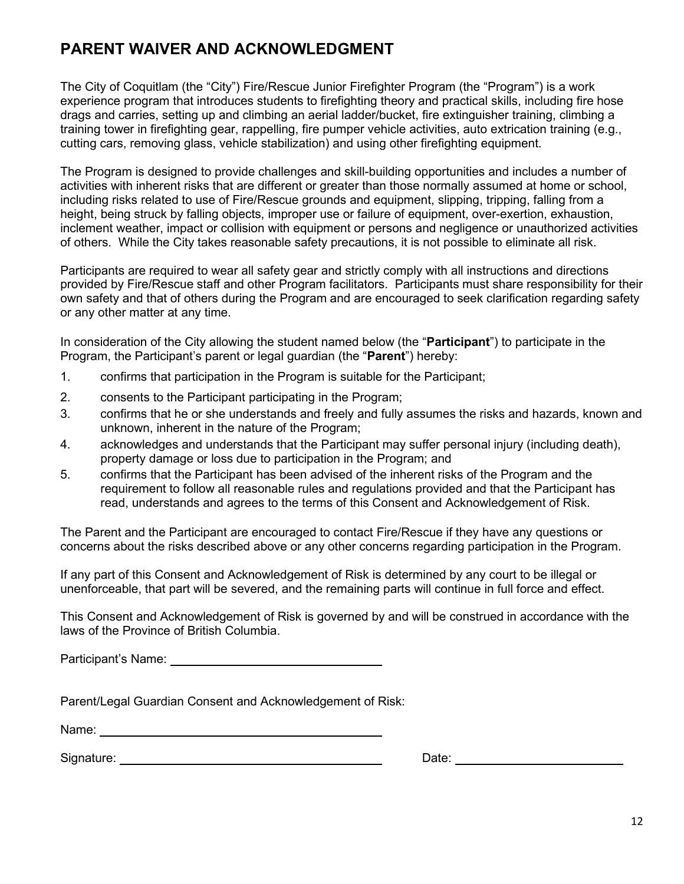# **PARENT WAIVER AND ACKNOWLEDGMENT**

The City of Coquitlam (the "City") Fire/Rescue Junior Firefighter Program (the "Program") is a work experience program that introduces students to firefighting theory and practical skills, including fire hose drags and carries, setting up and climbing an aerial ladder/bucket, fire extinguisher training, climbing a training tower in firefighting gear, rappelling, fire pumper vehicle activities, auto extrication training (e.g., cutting cars, removing glass, vehicle stabilization) and using other firefighting equipment.

The Program is designed to provide challenges and skill-building opportunities and includes a number of activities with inherent risks that are different or greater than those normally assumed at home or school, including risks related to use of Fire/Rescue grounds and equipment, slipping, tripping, falling from a height, being struck by falling objects, improper use or failure of equipment, over-exertion, exhaustion, inclement weather, impact or collision with equipment or persons and negligence or unauthorized activities of others. While the City takes reasonable safety precautions, it is not possible to eliminate all risk.

Participants are required to wear all safety gear and strictly comply with all instructions and directions provided by Fire/Rescue staff and other Program facilitators. Participants must share responsibility for their own safety and that of others during the Program and are encouraged to seek clarification regarding safety or any other matter at any time.

In consideration of the City allowing the student named below (the "**Participant**") to participate in the Program, the Participant's parent or legal guardian (the "**Parent**") hereby:

- 1. confirms that participation in the Program is suitable for the Participant;
- 2. consents to the Participant participating in the Program;
- 3. confirms that he or she understands and freely and fully assumes the risks and hazards, known and unknown, inherent in the nature of the Program;
- 4. acknowledges and understands that the Participant may suffer personal injury (including death), property damage or loss due to participation in the Program; and
- 5. confirms that the Participant has been advised of the inherent risks of the Program and the requirement to follow all reasonable rules and regulations provided and that the Participant has read, understands and agrees to the terms of this Consent and Acknowledgement of Risk.

The Parent and the Participant are encouraged to contact Fire/Rescue if they have any questions or concerns about the risks described above or any other concerns regarding participation in the Program.

If any part of this Consent and Acknowledgement of Risk is determined by any court to be illegal or unenforceable, that part will be severed, and the remaining parts will continue in full force and effect.

This Consent and Acknowledgement of Risk is governed by and will be construed in accordance with the laws of the Province of British Columbia.

Participant's Name:

Parent/Legal Guardian Consent and Acknowledgement of Risk:

Name: when the contract of the contract of the contract of the contract of the contract of the contract of the contract of the contract of the contract of the contract of the contract of the contract of the contract of the

Signature: Date: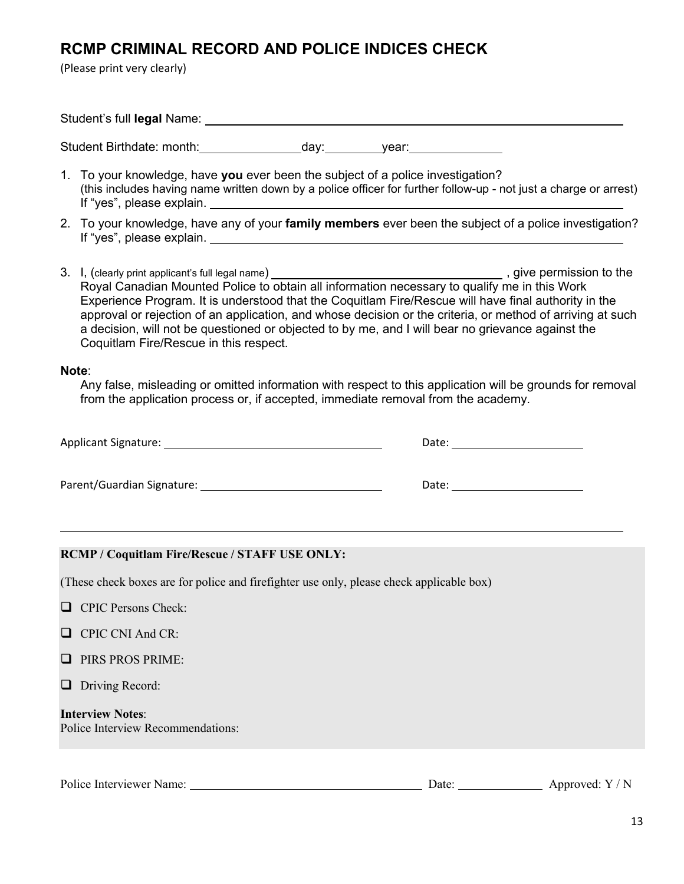# **RCMP CRIMINAL RECORD AND POLICE INDICES CHECK**

(Please print very clearly)

Student's full **legal** Name:

Student Birthdate: month: day: year:

- 1. To your knowledge, have **you** ever been the subject of a police investigation? (this includes having name written down by a police officer for further follow-up - not just a charge or arrest) If "yes", please explain.
- 2. To your knowledge, have any of your **family members** ever been the subject of a police investigation? If "yes", please explain.
- 3. I, (clearly print applicant's full legal name)  $\overline{a}$  and  $\overline{b}$  and  $\overline{c}$  are permission to the set of the set of the set of the set of the set of the set of the set of the set of the set of the set of the set o Royal Canadian Mounted Police to obtain all information necessary to qualify me in this Work Experience Program. It is understood that the Coquitlam Fire/Rescue will have final authority in the approval or rejection of an application, and whose decision or the criteria, or method of arriving at such a decision, will not be questioned or objected to by me, and I will bear no grievance against the Coquitlam Fire/Rescue in this respect.

#### **Note**:

Any false, misleading or omitted information with respect to this application will be grounds for removal from the application process or, if accepted, immediate removal from the academy.

| Applicant Signature:       | Date: |
|----------------------------|-------|
|                            |       |
| Parent/Guardian Signature: | Date: |

#### **RCMP / Coquitlam Fire/Rescue / STAFF USE ONLY:**

(These check boxes are for police and firefighter use only, please check applicable box)

- **Q** CPIC Persons Check:
- $\Box$  CPIC CNI And CR:
- **PIRS PROS PRIME:**
- $\Box$  Driving Record:

**Interview Notes**: Police Interview Recommendations:

Police Interviewer Name: Date: Date: Approved: Y / N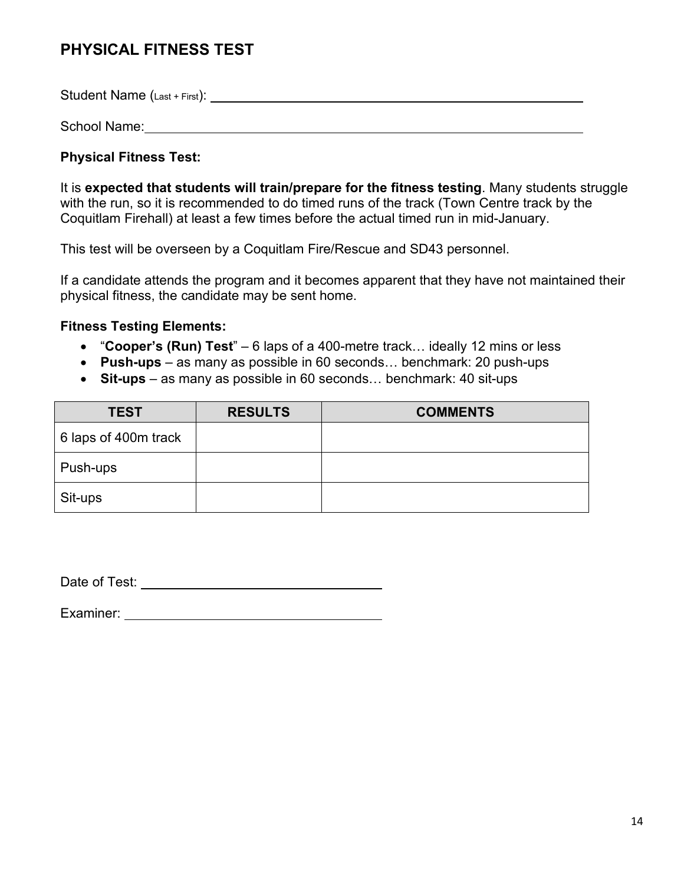# **PHYSICAL FITNESS TEST**

Student Name (Last + First):

School Name: 2008 - 2008 - 2010 - 2010 - 2010 - 2010 - 2010 - 2010 - 2010 - 2010 - 2010 - 2010 - 2010 - 2010 -

## **Physical Fitness Test:**

It is **expected that students will train/prepare for the fitness testing**. Many students struggle with the run, so it is recommended to do timed runs of the track (Town Centre track by the Coquitlam Firehall) at least a few times before the actual timed run in mid-January.

This test will be overseen by a Coquitlam Fire/Rescue and SD43 personnel.

If a candidate attends the program and it becomes apparent that they have not maintained their physical fitness, the candidate may be sent home.

## **Fitness Testing Elements:**

- "**Cooper's (Run) Test**" 6 laps of a 400-metre track… ideally 12 mins or less
- **Push-ups** as many as possible in 60 seconds… benchmark: 20 push-ups
- **Sit-ups** as many as possible in 60 seconds… benchmark: 40 sit-ups

| <b>TEST</b>          | <b>RESULTS</b> | <b>COMMENTS</b> |
|----------------------|----------------|-----------------|
| 6 laps of 400m track |                |                 |
| Push-ups             |                |                 |
| Sit-ups              |                |                 |

Date of Test: <u>with a set of the set of the set of the set of the set of the set of the set of the set of the set of the set of the set of the set of the set of the set of the set of the set of the set of the set of the se</u>

Examiner: University of the state of the state of the state of the state of the state of the state of the state of the state of the state of the state of the state of the state of the state of the state of the state of the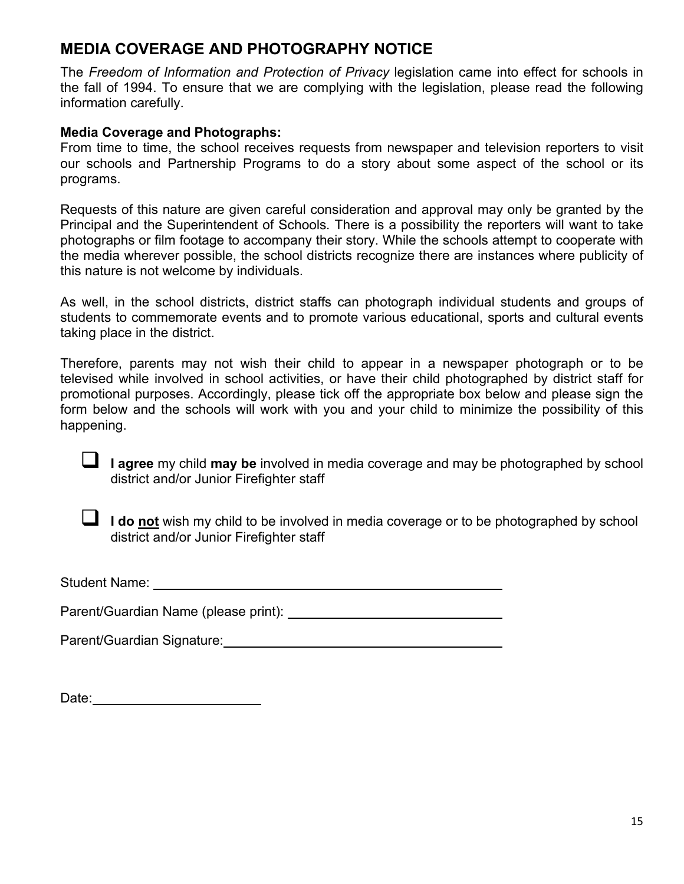# **MEDIA COVERAGE AND PHOTOGRAPHY NOTICE**

The *Freedom of Information and Protection of Privacy* legislation came into effect for schools in the fall of 1994. To ensure that we are complying with the legislation, please read the following information carefully.

## **Media Coverage and Photographs:**

From time to time, the school receives requests from newspaper and television reporters to visit our schools and Partnership Programs to do a story about some aspect of the school or its programs.

Requests of this nature are given careful consideration and approval may only be granted by the Principal and the Superintendent of Schools. There is a possibility the reporters will want to take photographs or film footage to accompany their story. While the schools attempt to cooperate with the media wherever possible, the school districts recognize there are instances where publicity of this nature is not welcome by individuals.

As well, in the school districts, district staffs can photograph individual students and groups of students to commemorate events and to promote various educational, sports and cultural events taking place in the district.

Therefore, parents may not wish their child to appear in a newspaper photograph or to be televised while involved in school activities, or have their child photographed by district staff for promotional purposes. Accordingly, please tick off the appropriate box below and please sign the form below and the schools will work with you and your child to minimize the possibility of this happening.

 **I agree** my child **may be** involved in media coverage and may be photographed by school district and/or Junior Firefighter staff



I **do <u>not</u>** wish my child to be involved in media coverage or to be photographed by school district and/or Junior Firefighter staff

Student Name: **Student Name: Student Name: Student Name: Student Name: Student Name: Student Name: Student Name: Student Name: Student Name: Student Name: Student Name: Student Name: Student Name:**

Parent/Guardian Name (please print):

Parent/Guardian Signature:

| Date: |  |
|-------|--|
|       |  |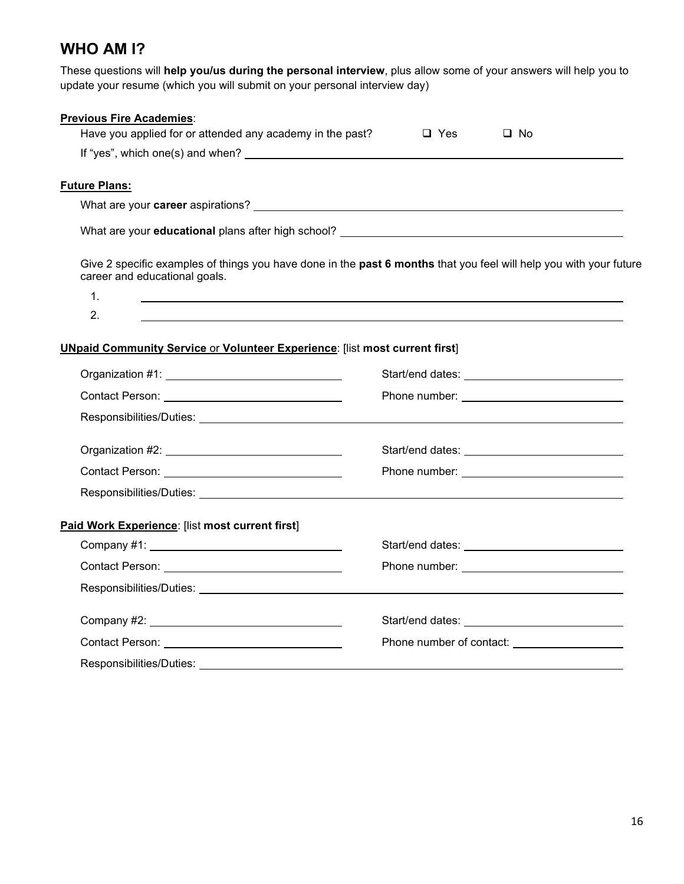# **WHO AM I?**

These questions will **help you/us during the personal interview**, plus allow some of your answers will help you to update your resume (which you will submit on your personal interview day)

| <b>Previous Fire Academies:</b>                                                                                                                     |                                                                                                                                                                |           |  |
|-----------------------------------------------------------------------------------------------------------------------------------------------------|----------------------------------------------------------------------------------------------------------------------------------------------------------------|-----------|--|
| Have you applied for or attended any academy in the past?                                                                                           | $\Box$ Yes                                                                                                                                                     | $\Box$ No |  |
|                                                                                                                                                     |                                                                                                                                                                |           |  |
| <b>Future Plans:</b>                                                                                                                                |                                                                                                                                                                |           |  |
|                                                                                                                                                     |                                                                                                                                                                |           |  |
|                                                                                                                                                     |                                                                                                                                                                |           |  |
|                                                                                                                                                     |                                                                                                                                                                |           |  |
| Give 2 specific examples of things you have done in the past 6 months that you feel will help you with your future<br>career and educational goals. |                                                                                                                                                                |           |  |
| 1.                                                                                                                                                  |                                                                                                                                                                |           |  |
| 2.                                                                                                                                                  |                                                                                                                                                                |           |  |
|                                                                                                                                                     |                                                                                                                                                                |           |  |
| <b>UNpaid Community Service or Volunteer Experience: [list most current first]</b>                                                                  |                                                                                                                                                                |           |  |
|                                                                                                                                                     |                                                                                                                                                                |           |  |
| Contact Person: New York Contact Person:                                                                                                            |                                                                                                                                                                |           |  |
|                                                                                                                                                     |                                                                                                                                                                |           |  |
|                                                                                                                                                     |                                                                                                                                                                |           |  |
|                                                                                                                                                     |                                                                                                                                                                |           |  |
|                                                                                                                                                     | Contact Person: New York State State State State State State State State State State State State State State S<br>Phone number: ______________________________ |           |  |
|                                                                                                                                                     |                                                                                                                                                                |           |  |
| Paid Work Experience: [list most current first]                                                                                                     |                                                                                                                                                                |           |  |
| Company #1: New York Company #1:                                                                                                                    |                                                                                                                                                                |           |  |
|                                                                                                                                                     |                                                                                                                                                                |           |  |
|                                                                                                                                                     |                                                                                                                                                                |           |  |
|                                                                                                                                                     |                                                                                                                                                                |           |  |
|                                                                                                                                                     |                                                                                                                                                                |           |  |
|                                                                                                                                                     |                                                                                                                                                                |           |  |
| Responsibilities/Duties: Note of the second service of the service of the service of the service of the service                                     |                                                                                                                                                                |           |  |